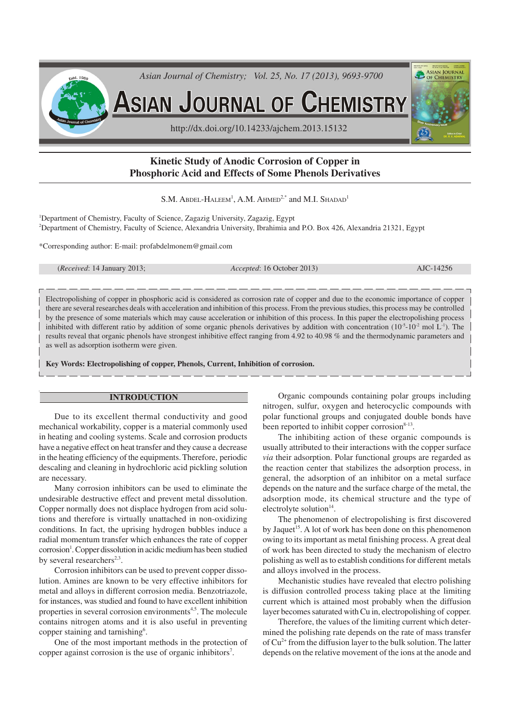

# **Kinetic Study of Anodic Corrosion of Copper in Phosphoric Acid and Effects of Some Phenols Derivatives**

S.M. Abdel-Haleem<sup>1</sup>, A.M. Ahmed<sup>2,\*</sup> and M.I. Shadad<sup>1</sup>

<sup>1</sup>Department of Chemistry, Faculty of Science, Zagazig University, Zagazig, Egypt <sup>2</sup>Department of Chemistry, Faculty of Science, Alexandria University, Ibrahimia and P.O. Box 426, Alexandria 21321, Egypt

\*Corresponding author: E-mail: profabdelmonem@gmail.com

(*Received*: 14 January 2013; *Accepted*: 16 October 2013) AJC-14256

Electropolishing of copper in phosphoric acid is considered as corrosion rate of copper and due to the economic importance of copper

there are several researches deals with acceleration and inhibition of this process. From the previous studies, this process may be controlled by the presence of some materials which may cause acceleration or inhibition of this process. In this paper the electropolishing process inhibited with different ratio by addition of some organic phenols derivatives by addition with concentration  $(10^{-5} \text{--} 10^{-2} \text{ mol L}^{-1})$ . The results reveal that organic phenols have strongest inhibitive effect ranging from 4.92 to 40.98 % and the thermodynamic parameters and as well as adsorption isotherm were given.

**Key Words: Electropolishing of copper, Phenols, Current, Inhibition of corrosion.**

### **INTRODUCTION**

Due to its excellent thermal conductivity and good mechanical workability, copper is a material commonly used in heating and cooling systems. Scale and corrosion products have a negative effect on heat transfer and they cause a decrease in the heating efficiency of the equipments. Therefore, periodic descaling and cleaning in hydrochloric acid pickling solution are necessary.

Many corrosion inhibitors can be used to eliminate the undesirable destructive effect and prevent metal dissolution. Copper normally does not displace hydrogen from acid solutions and therefore is virtually unattached in non-oxidizing conditions. In fact, the uprising hydrogen bubbles induce a radial momentum transfer which enhances the rate of copper corrosion<sup>1</sup>. Copper dissolution in acidic medium has been studied by several researchers<sup>2,3</sup>.

Corrosion inhibitors can be used to prevent copper dissolution. Amines are known to be very effective inhibitors for metal and alloys in different corrosion media. Benzotriazole, for instances, was studied and found to have excellent inhibition properties in several corrosion environments<sup>4,5</sup>. The molecule contains nitrogen atoms and it is also useful in preventing copper staining and tarnishing<sup>6</sup>.

One of the most important methods in the protection of copper against corrosion is the use of organic inhibitors<sup>7</sup>.

Organic compounds containing polar groups including nitrogen, sulfur, oxygen and heterocyclic compounds with polar functional groups and conjugated double bonds have been reported to inhibit copper corrosion<sup>8-13</sup>.

The inhibiting action of these organic compounds is usually attributed to their interactions with the copper surface *via* their adsorption. Polar functional groups are regarded as the reaction center that stabilizes the adsorption process, in general, the adsorption of an inhibitor on a metal surface depends on the nature and the surface charge of the metal, the adsorption mode, its chemical structure and the type of electrolyte solution $14$ .

The phenomenon of electropolishing is first discovered by Jaquet<sup>15</sup>. A lot of work has been done on this phenomenon owing to its important as metal finishing process. A great deal of work has been directed to study the mechanism of electro polishing as well as to establish conditions for different metals and alloys involved in the process.

Mechanistic studies have revealed that electro polishing is diffusion controlled process taking place at the limiting current which is attained most probably when the diffusion layer becomes saturated with Cu in, electropolishing of copper.

Therefore, the values of the limiting current which determined the polishing rate depends on the rate of mass transfer of Cu2+ from the diffusion layer to the bulk solution. The latter depends on the relative movement of the ions at the anode and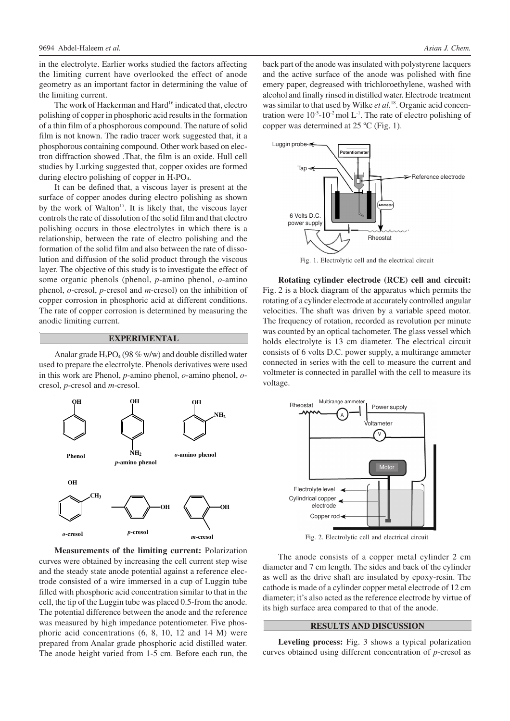in the electrolyte. Earlier works studied the factors affecting the limiting current have overlooked the effect of anode geometry as an important factor in determining the value of the limiting current.

The work of Hackerman and Hard<sup>16</sup> indicated that, electro polishing of copper in phosphoric acid results in the formation of a thin film of a phosphorous compound. The nature of solid film is not known. The radio tracer work suggested that, it a phosphorous containing compound. Other work based on electron diffraction showed .That, the film is an oxide. Hull cell studies by Lurking suggested that, copper oxides are formed during electro polishing of copper in  $H_3PO_4$ .

It can be defined that, a viscous layer is present at the surface of copper anodes during electro polishing as shown by the work of Walton<sup>17</sup>. It is likely that, the viscous layer controls the rate of dissolution of the solid film and that electro polishing occurs in those electrolytes in which there is a relationship, between the rate of electro polishing and the formation of the solid film and also between the rate of dissolution and diffusion of the solid product through the viscous layer. The objective of this study is to investigate the effect of some organic phenols (phenol, *p*-amino phenol, *o*-amino phenol, *o*-cresol, *p*-cresol and *m*-cresol) on the inhibition of copper corrosion in phosphoric acid at different conditions. The rate of copper corrosion is determined by measuring the anodic limiting current.

#### **EXPERIMENTAL**

Analar grade  $H_3PO_4$  (98 % w/w) and double distilled water used to prepare the electrolyte. Phenols derivatives were used in this work are Phenol, *p*-amino phenol, *o*-amino phenol, *o*cresol, *p*-cresol and *m*-cresol.



**Measurements of the limiting current:** Polarization curves were obtained by increasing the cell current step wise and the steady state anode potential against a reference electrode consisted of a wire immersed in a cup of Luggin tube filled with phosphoric acid concentration similar to that in the cell, the tip of the Luggin tube was placed 0.5-from the anode. The potential difference between the anode and the reference was measured by high impedance potentiometer. Five phosphoric acid concentrations (6, 8, 10, 12 and 14 M) were prepared from Analar grade phosphoric acid distilled water. The anode height varied from 1-5 cm. Before each run, the back part of the anode was insulated with polystyrene lacquers and the active surface of the anode was polished with fine emery paper, degreased with trichloroethylene, washed with alcohol and finally rinsed in distilled water. Electrode treatment was similar to that used by Wilke *et al.*18. Organic acid concentration were  $10^{-5}$ - $10^{-2}$  mol L<sup>-1</sup>. The rate of electro polishing of copper was determined at 25 ºC (Fig. 1).



Fig. 1. Electrolytic cell and the electrical circuit

**Rotating cylinder electrode (RCE) cell and circuit:** Fig. 2 is a block diagram of the apparatus which permits the rotating of a cylinder electrode at accurately controlled angular velocities. The shaft was driven by a variable speed motor. The frequency of rotation, recorded as revolution per minute was counted by an optical tachometer. The glass vessel which holds electrolyte is 13 cm diameter. The electrical circuit consists of 6 volts D.C. power supply, a multirange ammeter connected in series with the cell to measure the current and voltmeter is connected in parallel with the cell to measure its voltage.



Fig. 2. Electrolytic cell and electrical circuit

The anode consists of a copper metal cylinder 2 cm diameter and 7 cm length. The sides and back of the cylinder as well as the drive shaft are insulated by epoxy-resin. The cathode is made of a cylinder copper metal electrode of 12 cm diameter; it's also acted as the reference electrode by virtue of its high surface area compared to that of the anode.

## **RESULTS AND DISCUSSION**

**Leveling process:** Fig. 3 shows a typical polarization curves obtained using different concentration of *p*-cresol as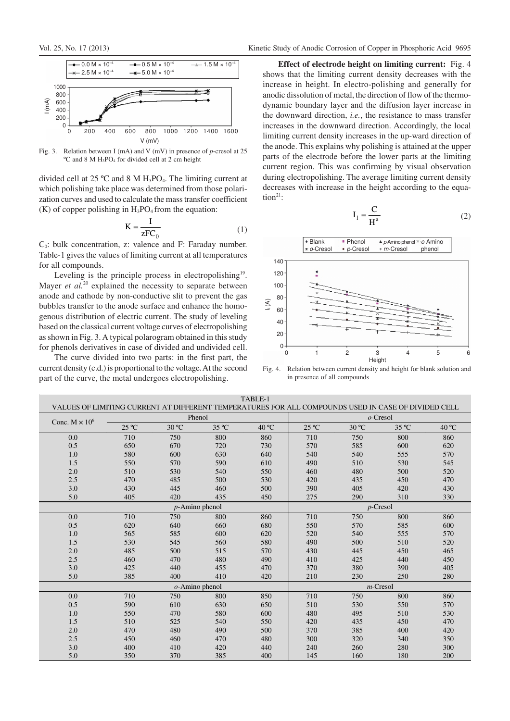

Fig. 3. Relation between I (mA) and V (mV) in presence of *p*-cresol at 25 ºC and 8 M H3PO4 for divided cell at 2 cm height

divided cell at 25 °C and 8 M H<sub>3</sub>PO<sub>4</sub>. The limiting current at which polishing take place was determined from those polarization curves and used to calculate the mass transfer coefficient  $(K)$  of copper polishing in  $H_3PO_4$  from the equation:

$$
K = \frac{I}{zFC_0} \tag{1}
$$

C0: bulk concentration, z: valence and F: Faraday number. Table-1 gives the values of limiting current at all temperatures for all compounds.

Leveling is the principle process in electropolishing<sup>19</sup>. Mayer *et al.*<sup>20</sup> explained the necessity to separate between anode and cathode by non-conductive slit to prevent the gas bubbles transfer to the anode surface and enhance the homogenous distribution of electric current. The study of leveling based on the classical current voltage curves of electropolishing as shown in Fig. 3. A typical polarogram obtained in this study for phenols derivatives in case of divided and undivided cell.

The curve divided into two parts: in the first part, the current density (c.d.) is proportional to the voltage. At the second part of the curve, the metal undergoes electropolishing.

**Effect of electrode height on limiting current:** Fig. 4 shows that the limiting current density decreases with the increase in height. In electro-polishing and generally for anodic dissolution of metal, the direction of flow of the thermodynamic boundary layer and the diffusion layer increase in the downward direction, *i.e.*, the resistance to mass transfer increases in the downward direction. Accordingly, the local limiting current density increases in the up-ward direction of the anode. This explains why polishing is attained at the upper parts of the electrode before the lower parts at the limiting current region. This was confirming by visual observation during electropolishing. The average limiting current density decreases with increase in the height according to the equation:

$$
I_1 = \frac{C}{H^a} \tag{2}
$$



Fig. 4. Relation between current density and height for blank solution and in presence of all compounds

| TABLE-1<br>VALUES OF LIMITING CURRENT AT DIFFERENT TEMPERATURES FOR ALL COMPOUNDS USED IN CASE OF DIVIDED CELL |                |                |                   |                |                |                |             |       |
|----------------------------------------------------------------------------------------------------------------|----------------|----------------|-------------------|----------------|----------------|----------------|-------------|-------|
|                                                                                                                | Phenol         |                |                   | $o$ -Cresol    |                |                |             |       |
| Conc. $M \times 10^6$                                                                                          | $25^{\circ}$ C | $30^{\circ}$ C | 35 °C             | $40^{\circ}$ C | $25^{\circ}$ C | $30^{\circ}$ C | 35 °C       | 40 °C |
| 0.0                                                                                                            | 710            | 750            | 800               | 860            | 710            | 750            | 800         | 860   |
| 0.5                                                                                                            | 650            | 670            | 720               | 730            | 570            | 585            | 600         | 620   |
| $1.0\,$                                                                                                        | 580            | 600            | 630               | 640            | 540            | 540            | 555         | 570   |
| 1.5                                                                                                            | 550            | 570            | 590               | 610            | 490            | 510            | 530         | 545   |
| 2.0                                                                                                            | 510            | 530            | 540               | 550            | 460            | 480            | 500         | 520   |
| 2.5                                                                                                            | 470            | 485            | 500               | 530            | 420            | 435            | 450         | 470   |
| 3.0                                                                                                            | 430            | 445            | 460               | 500            | 390            | 405            | 420         | 430   |
| 5.0                                                                                                            | 405            | 420            | 435               | 450            | 275            | 290            | 310         | 330   |
|                                                                                                                |                |                | $p$ -Amino phenol |                | $p$ -Cresol    |                |             |       |
| 0.0                                                                                                            | 710            | 750            | 800               | 860            | 710            | 750            | 800         | 860   |
| 0.5                                                                                                            | 620            | 640            | 660               | 680            | 550            | 570            | 585         | 600   |
| 1.0                                                                                                            | 565            | 585            | 600               | 620            | 520            | 540            | 555         | 570   |
| 1.5                                                                                                            | 530            | 545            | 560               | 580            | 490            | 500            | 510         | 520   |
| $2.0\,$                                                                                                        | 485            | 500            | 515               | 570            | 430            | 445            | 450         | 465   |
| 2.5                                                                                                            | 460            | 470            | 480               | 490            | 410            | 425            | 440         | 450   |
| 3.0                                                                                                            | 425            | 440            | 455               | 470            | 370            | 380            | 390         | 405   |
| 5.0                                                                                                            | 385            | 400            | 410               | 420            | 210            | 230            | 250         | 280   |
|                                                                                                                |                |                | $o$ -Amino phenol |                |                |                | $m$ -Cresol |       |
| 0.0                                                                                                            | 710            | 750            | 800               | 850            | 710            | 750            | 800         | 860   |
| 0.5                                                                                                            | 590            | 610            | 630               | 650            | 510            | 530            | 550         | 570   |
| $1.0\,$                                                                                                        | 550            | 470            | 580               | 600            | 480            | 495            | 510         | 530   |
| 1.5                                                                                                            | 510            | 525            | 540               | 550            | 420            | 435            | 450         | 470   |
| 2.0                                                                                                            | 470            | 480            | 490               | 500            | 370            | 385            | 400         | 420   |
| 2.5                                                                                                            | 450            | 460            | 470               | 480            | 300            | 320            | 340         | 350   |
| 3.0                                                                                                            | 400            | 410            | 420               | 440            | 240            | 260            | 280         | 300   |
| 5.0                                                                                                            | 350            | 370            | 385               | 400            | 145            | 160            | 180         | 200   |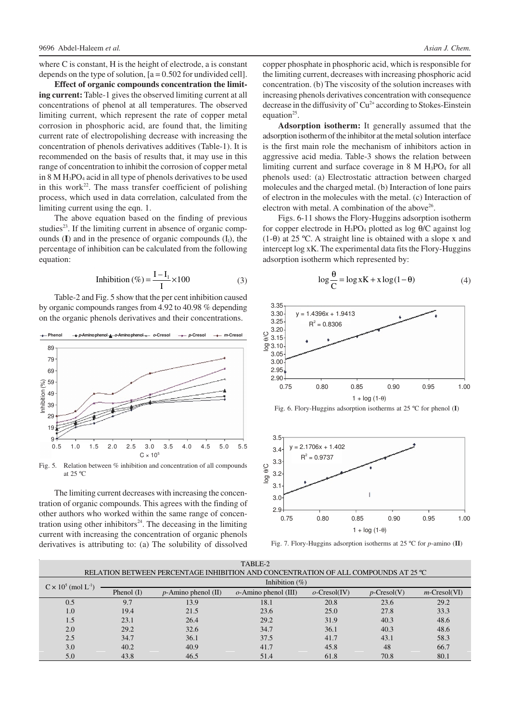where C is constant, H is the height of electrode, a is constant depends on the type of solution,  $[a = 0.502$  for undivided cell.

**Effect of organic compounds concentration the limiting current:** Table-1 gives the observed limiting current at all concentrations of phenol at all temperatures. The observed limiting current, which represent the rate of copper metal corrosion in phosphoric acid, are found that, the limiting current rate of electropolishing decrease with increasing the concentration of phenols derivatives additives (Table-1). It is recommended on the basis of results that, it may use in this range of concentration to inhibit the corrosion of copper metal in  $8 M H_3PO_4$  acid in all type of phenols derivatives to be used in this work<sup>22</sup>. The mass transfer coefficient of polishing process, which used in data correlation, calculated from the limiting current using the eqn. 1.

The above equation based on the finding of previous studies<sup>23</sup>. If the limiting current in absence of organic compounds (I) and in the presence of organic compounds (I<sub>1</sub>), the percentage of inhibition can be calculated from the following equation:

$$
Inhibition (\%) = \frac{I - I_1}{I} \times 100
$$
 (3)

Table-2 and Fig. 5 show that the per cent inhibition caused by organic compounds ranges from 4.92 to 40.98 % depending on the organic phenols derivatives and their concentrations.



Fig. 5*.* Relation between % inhibition and concentration of all compounds at 25 ºC

The limiting current decreases with increasing the concentration of organic compounds. This agrees with the finding of other authors who worked within the same range of concentration using other inhibitors $24$ . The deceasing in the limiting current with increasing the concentration of organic phenols derivatives is attributing to: (a) The solubility of dissolved

copper phosphate in phosphoric acid, which is responsible for the limiting current, decreases with increasing phosphoric acid concentration. (b) The viscosity of the solution increases with increasing phenols derivatives concentration with consequence decrease in the diffusivity of  $Cu^{2+}$  according to Stokes-Einstein equation<sup>25</sup>.

**Adsorption isotherm:** It generally assumed that the adsorption isotherm of the inhibitor at the metal solution interface is the first main role the mechanism of inhibitors action in aggressive acid media. Table-3 shows the relation between limiting current and surface coverage in  $8 \text{ M H}_3\text{PO}_4$  for all phenols used: (a) Electrostatic attraction between charged molecules and the charged metal. (b) Interaction of lone pairs of electron in the molecules with the metal. (c) Interaction of electron with metal. A combination of the above<sup>26</sup>.

Figs. 6-11 shows the Flory-Huggins adsorption isotherm for copper electrode in  $H_3PO_4$  plotted as log  $\theta$ /C against log (1-θ) at 25 ºC. A straight line is obtained with a slope x and intercept log xK. The experimental data fits the Flory-Huggins adsorption isotherm which represented by:

$$
\log \frac{\theta}{C} = \log xK + x \log(1 - \theta)
$$
 (4)



Fig. 6. Flory-Huggins adsorption isotherms at 25 ºC for phenol (**I**)



Fig. 7. Flory-Huggins adsorption isotherms at 25 ºC for *p*-amino (**II**)

| TABLE-2                                |                                                                                    |                        |                         |                 |                |                 |  |  |
|----------------------------------------|------------------------------------------------------------------------------------|------------------------|-------------------------|-----------------|----------------|-----------------|--|--|
|                                        | RELATION BETWEEN PERCENTAGE INHIBITION AND CONCENTRATION OF ALL COMPOUNDS AT 25 °C |                        |                         |                 |                |                 |  |  |
| $C \times 10^5$ (mol L <sup>-1</sup> ) | Inhibition $(\%)$                                                                  |                        |                         |                 |                |                 |  |  |
|                                        | Phenol $(I)$                                                                       | $p$ -Amino phenol (II) | $o$ -Amino phenol (III) | $o$ -Cresol(IV) | $p$ -Cresol(V) | $m$ -Cresol(VI) |  |  |
| 0.5                                    | 9.7                                                                                | 13.9                   | 18.1                    | 20.8            | 23.6           | 29.2            |  |  |
| 1.0                                    | 19.4                                                                               | 21.5                   | 23.6                    | 25.0            | 27.8           | 33.3            |  |  |
| 1.5                                    | 23.1                                                                               | 26.4                   | 29.2                    | 31.9            | 40.3           | 48.6            |  |  |
| 2.0                                    | 29.2                                                                               | 32.6                   | 34.7                    | 36.1            | 40.3           | 48.6            |  |  |
| 2.5                                    | 34.7                                                                               | 36.1                   | 37.5                    | 41.7            | 43.1           | 58.3            |  |  |
| 3.0                                    | 40.2                                                                               | 40.9                   | 41.7                    | 45.8            | 48             | 66.7            |  |  |
| 5.0                                    | 43.8                                                                               | 46.5                   | 51.4                    | 61.8            | 70.8           | 80.1            |  |  |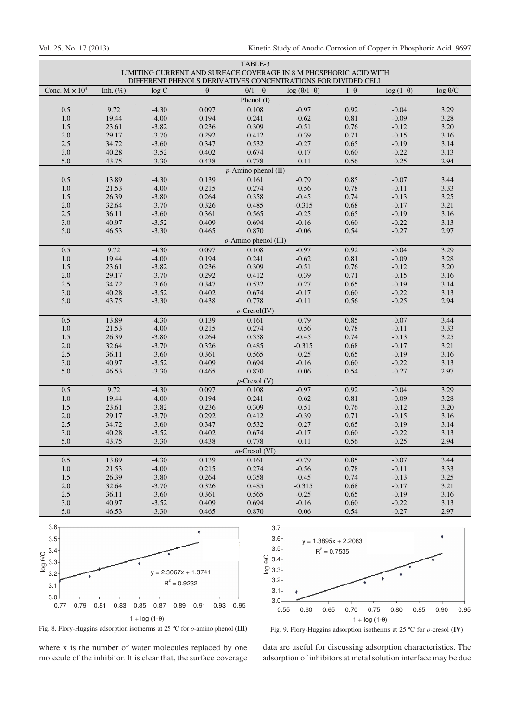| TABLE-3<br>LIMITING CURRENT AND SURFACE COVERAGE IN 8 M PHOSPHORIC ACID WITH<br>DIFFERENT PHENOLS DERIVATIVES CONCENTRATIONS FOR DIVIDED CELL |                |                    |                |                        |                        |                  |                    |                 |
|-----------------------------------------------------------------------------------------------------------------------------------------------|----------------|--------------------|----------------|------------------------|------------------------|------------------|--------------------|-----------------|
|                                                                                                                                               |                |                    |                |                        |                        |                  |                    |                 |
| Conc. $M \times 10^4$                                                                                                                         | Inh. $(\%)$    | log C              | $\theta$       | $\theta/1-\theta$      | $log(\theta/1-\theta)$ | $1-\theta$       | $log(1-\theta)$    | $\log \theta/C$ |
|                                                                                                                                               |                |                    |                | Phenol (I)             |                        |                  | $-0.04$            | 3.29            |
| 0.5<br>$1.0\,$                                                                                                                                | 9.72<br>19.44  | $-4.30$<br>$-4.00$ | 0.097<br>0.194 | 0.108<br>0.241         | $-0.97$<br>$-0.62$     | 0.92<br>$0.81\,$ | $-0.09$            | 3.28            |
| 1.5                                                                                                                                           | 23.61          | $-3.82$            | 0.236          | 0.309                  | $-0.51$                | 0.76             | $-0.12$            | 3.20            |
| $2.0\,$                                                                                                                                       | 29.17          | $-3.70$            | 0.292          | 0.412                  | $-0.39$                | 0.71             | $-0.15$            | 3.16            |
| 2.5                                                                                                                                           | 34.72          | $-3.60$            | 0.347          | 0.532                  | $-0.27$                | 0.65             | $-0.19$            | 3.14            |
| 3.0                                                                                                                                           | 40.28          | $-3.52$            | 0.402          | 0.674                  | $-0.17$                | 0.60             | $-0.22$            | 3.13            |
| 5.0                                                                                                                                           | 43.75          | $-3.30$            | 0.438          | 0.778                  | $-0.11$                | 0.56             | $-0.25$            | 2.94            |
|                                                                                                                                               |                |                    |                | $p$ -Amino phenol (II) |                        |                  |                    |                 |
| 0.5                                                                                                                                           | 13.89          | $-4.30$            | 0.139          | 0.161                  | $-0.79$                | 0.85             | $-0.07$            | 3.44            |
| 1.0                                                                                                                                           | 21.53          | $-4.00$            | 0.215          | 0.274                  | $-0.56$                | 0.78             | $-0.11$            | 3.33            |
| 1.5                                                                                                                                           | 26.39          | $-3.80$            | 0.264          | 0.358                  | $-0.45$                | 0.74             | $-0.13$            | 3.25            |
| $2.0\,$                                                                                                                                       | 32.64          | $-3.70$            | 0.326          | 0.485                  | $-0.315$               | 0.68             | $-0.17$            | 3.21            |
| 2.5                                                                                                                                           | 36.11          | $-3.60$            | 0.361          | 0.565                  | $-0.25$                | 0.65             | $-0.19$            | 3.16            |
| $3.0\,$                                                                                                                                       | 40.97          | $-3.52$            | 0.409          | 0.694                  | $-0.16$                | $0.60\,$         | $-0.22$            | 3.13            |
| 5.0                                                                                                                                           | 46.53          | $-3.30$            | 0.465          | 0.870                  | $-0.06$                | 0.54             | $-0.27$            | 2.97            |
|                                                                                                                                               |                |                    |                | o-Amino phenol (III)   |                        |                  |                    |                 |
| 0.5                                                                                                                                           | 9.72           | $-4.30$            | 0.097          | 0.108                  | $-0.97$                | 0.92             | $-0.04$            | 3.29            |
| $1.0\,$                                                                                                                                       | 19.44          | $-4.00$            | 0.194          | 0.241                  | $-0.62$                | 0.81             | $-0.09$            | 3.28            |
| 1.5                                                                                                                                           | 23.61          | $-3.82$            | 0.236          | 0.309                  | $-0.51$                | 0.76             | $-0.12$            | 3.20            |
| 2.0                                                                                                                                           | 29.17          | $-3.70$            | 0.292          | 0.412                  | $-0.39$                | 0.71             | $-0.15$            | 3.16            |
| 2.5                                                                                                                                           | 34.72          | $-3.60$            | 0.347          | 0.532                  | $-0.27$                | 0.65             | $-0.19$            | 3.14            |
| 3.0                                                                                                                                           | 40.28          | $-3.52$            | 0.402          | 0.674                  | $-0.17$                | $0.60\,$         | $-0.22$            | 3.13            |
| 5.0                                                                                                                                           | 43.75          | $-3.30$            | 0.438          | 0.778                  | $-0.11$                | 0.56             | $-0.25$            | 2.94            |
|                                                                                                                                               |                |                    |                | $o$ -Cresol(IV)        |                        |                  |                    |                 |
| 0.5                                                                                                                                           | 13.89          | $-4.30$            | 0.139          | 0.161                  | $-0.79$                | 0.85             | $-0.07$            | 3.44            |
| $1.0\,$                                                                                                                                       | 21.53          | $-4.00$            | 0.215          | 0.274                  | $-0.56$                | 0.78             | $-0.11$            | 3.33            |
| 1.5                                                                                                                                           | 26.39          | $-3.80$            | 0.264          | 0.358                  | $-0.45$                | 0.74             | $-0.13$            | 3.25            |
| 2.0<br>2.5                                                                                                                                    | 32.64<br>36.11 | $-3.70$<br>$-3.60$ | 0.326<br>0.361 | 0.485<br>0.565         | $-0.315$<br>$-0.25$    | 0.68<br>0.65     | $-0.17$<br>$-0.19$ | 3.21<br>3.16    |
| 3.0                                                                                                                                           | 40.97          | $-3.52$            | 0.409          | 0.694                  | $-0.16$                | 0.60             | $-0.22$            | 3.13            |
| 5.0                                                                                                                                           | 46.53          | $-3.30$            | 0.465          | 0.870                  | $-0.06$                | 0.54             | $-0.27$            | 2.97            |
|                                                                                                                                               |                |                    |                | $p$ -Cresol (V)        |                        |                  |                    |                 |
| 0.5                                                                                                                                           | 9.72           | $-4.30$            | 0.097          | 0.108                  | $-0.97$                | 0.92             | $-0.04$            | 3.29            |
| $1.0\,$                                                                                                                                       | 19.44          | $-4.00$            | 0.194          | 0.241                  | $-0.62$                | 0.81             | $-0.09$            | 3.28            |
| 1.5                                                                                                                                           | 23.61          | $-3.82$            | 0.236          | 0.309                  | $-0.51$                | 0.76             | $-0.12$            | 3.20            |
| $2.0\,$                                                                                                                                       | 29.17          | $-3.70$            | 0.292          | 0.412                  | $-0.39$                | 0.71             | $-0.15$            | 3.16            |
| 2.5                                                                                                                                           | 34.72          | $-3.60$            | 0.347          | 0.532                  | $-0.27$                | 0.65             | $-0.19$            | 3.14            |
| 3.0                                                                                                                                           | 40.28          | $-3.52$            | 0.402          | 0.674                  | $-0.17$                | 0.60             | $-0.22$            | 3.13            |
| 5.0                                                                                                                                           | 43.75          | $-3.30$            | 0.438          | 0.778                  | $-0.11$                | 0.56             | $-0.25$            | 2.94            |
|                                                                                                                                               |                |                    |                | $m$ -Cresol (VI)       |                        |                  |                    |                 |
| 0.5                                                                                                                                           | 13.89          | $-4.30$            | 0.139          | 0.161                  | $-0.79$                | 0.85             | $-0.07$            | 3.44            |
| 1.0                                                                                                                                           | 21.53          | $-4.00$            | 0.215          | 0.274                  | $-0.56$                | 0.78             | $-0.11$            | 3.33            |
| 1.5                                                                                                                                           | 26.39          | $-3.80$            | 0.264          | 0.358                  | $-0.45$                | 0.74             | $-0.13$            | 3.25            |
| 2.0                                                                                                                                           | 32.64          | $-3.70$            | 0.326          | 0.485                  | $-0.315$               | 0.68             | $-0.17$            | 3.21            |
| 2.5                                                                                                                                           | 36.11          | $-3.60$            | 0.361          | 0.565                  | $-0.25$                | 0.65             | $-0.19$            | 3.16            |
| 3.0                                                                                                                                           | 40.97          | $-3.52$            | 0.409          | 0.694                  | $-0.16$                | 0.60             | $-0.22$            | 3.13            |
| 5.0                                                                                                                                           | 46.53          | $-3.30$            | 0.465          | 0.870                  | $-0.06$                | 0.54             | $-0.27$            | 2.97            |
| 3.6 <sub>T</sub>                                                                                                                              |                |                    |                |                        | 3.7 <sub>T</sub>       |                  |                    |                 |





Fig. 8. Flory-Huggins adsorption isotherms at 25 ºC for *o*-amino phenol (**III**)

where x is the number of water molecules replaced by one molecule of the inhibitor. It is clear that, the surface coverage

Fig. 9. Flory-Huggins adsorption isotherms at 25 ºC for *o*-cresol (**IV**)

data are useful for discussing adsorption characteristics. The adsorption of inhibitors at metal solution interface may be due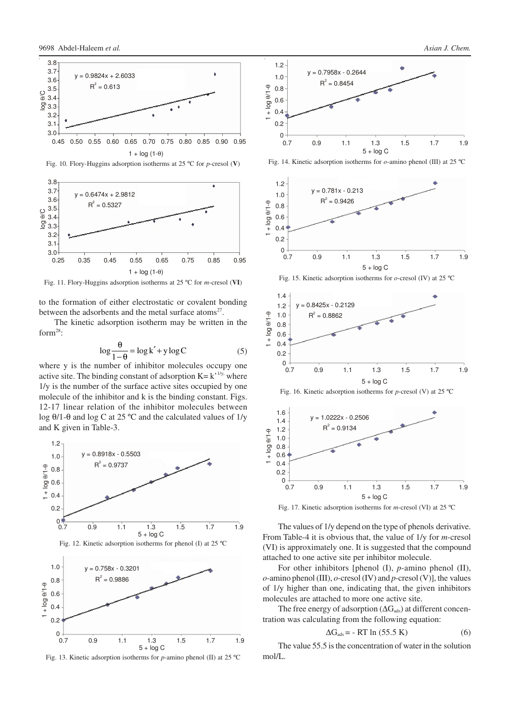



 $1 + \log(1-\theta)$ Fig. 11. Flory-Huggins adsorption isotherms at 25 ºC for *m*-cresol (**VI**)

to the formation of either electrostatic or covalent bonding between the adsorbents and the metal surface atoms<sup>27</sup>.

The kinetic adsorption isotherm may be written in the form $^{28}$ :

$$
\log \frac{\theta}{1-\theta} = \log k' + y \log C \tag{5}
$$

where y is the number of inhibitor molecules occupy one active site. The binding constant of adsorption  $K = k^{1/y}$ , where 1/y is the number of the surface active sites occupied by one molecule of the inhibitor and k is the binding constant. Figs. 12-17 linear relation of the inhibitor molecules between log θ/1-θ and log C at 25 ºC and the calculated values of 1/y and K given in Table-3.















Fig. 17. Kinetic adsorption isotherms for *m*-cresol (VI) at 25 ºC

The values of 1/y depend on the type of phenols derivative. From Table-4 it is obvious that, the value of 1/y for *m*-cresol (VI) is approximately one. It is suggested that the compound attached to one active site per inhibitor molecule.

For other inhibitors [phenol (I), *p*-amino phenol (II), *o*-amino phenol (III), *o*-cresol (IV) and *p*-cresol (V)], the values of 1/y higher than one, indicating that, the given inhibitors molecules are attached to more one active site.

The free energy of adsorption ( $\Delta G_{ads}$ ) at different concentration was calculating from the following equation:

$$
\Delta G_{ads} = -RT \ln (55.5 \text{ K}) \tag{6}
$$

The value 55.5 is the concentration of water in the solution mol/L.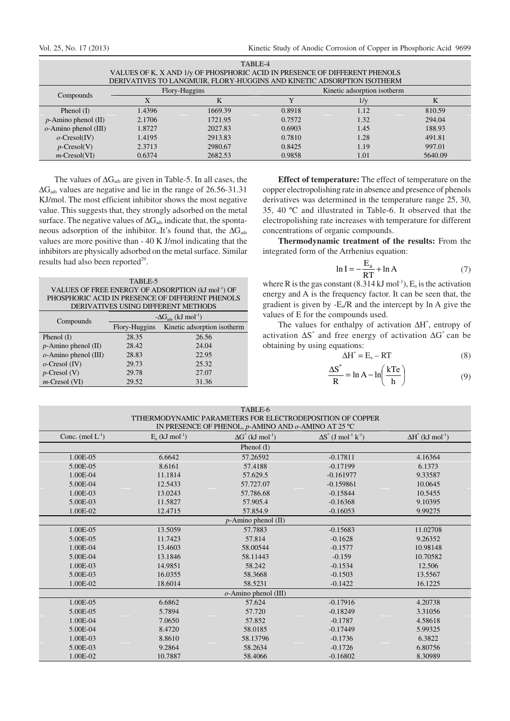| LADLC-4<br>VALUES OF K, X AND 1/y OF PHOSPHORIC ACID IN PRESENCE OF DIFFERENT PHENOLS<br>DERIVATIVES TO LANGMUIR, FLORY-HUGGINS AND KINETIC ADSORPTION ISOTHERM |        |               |        |                             |         |  |
|-----------------------------------------------------------------------------------------------------------------------------------------------------------------|--------|---------------|--------|-----------------------------|---------|--|
|                                                                                                                                                                 |        | Flory-Huggins |        | Kinetic adsorption isotherm |         |  |
| Compounds                                                                                                                                                       |        |               |        | $1/\mathrm{v}$              |         |  |
| Phenol $(I)$                                                                                                                                                    | 1.4396 | 1669.39       | 0.8918 | 1.12                        | 810.59  |  |
| $p$ -Amino phenol (II)                                                                                                                                          | 2.1706 | 1721.95       | 0.7572 | 1.32                        | 294.04  |  |
| $o$ -Amino phenol (III)                                                                                                                                         | 1.8727 | 2027.83       | 0.6903 | 1.45                        | 188.93  |  |
| $o$ -Cresol(IV)                                                                                                                                                 | 1.4195 | 2913.83       | 0.7810 | 1.28                        | 491.81  |  |
| $p$ -Cresol(V)                                                                                                                                                  | 2.3713 | 2980.67       | 0.8425 | 1.19                        | 997.01  |  |
| $m$ -Cresol(VI)                                                                                                                                                 | 0.6374 | 2682.53       | 0.9858 | 1.01                        | 5640.09 |  |

TABLE-4

The values of  $\Delta G_{ads}$  are given in Table-5. In all cases, the  $\Delta$ G<sub>ads</sub> values are negative and lie in the range of 26.56-31.31 KJ/mol. The most efficient inhibitor shows the most negative value. This suggests that, they strongly adsorbed on the metal surface. The negative values of ∆G<sub>ads</sub> indicate that, the spontaneous adsorption of the inhibitor. It's found that, the  $\Delta G_{ads}$ values are more positive than - 40 K J/mol indicating that the inhibitors are physically adsorbed on the metal surface. Similar results had also been reported<sup>29</sup>.

| TABLE-5                                                        |
|----------------------------------------------------------------|
| VALUES OF FREE ENERGY OF ADSORPTION (kJ mol <sup>-1</sup> ) OF |
| PHOSPHORIC ACID IN PRESENCE OF DIFFERENT PHENOLS               |
| DERIVATIVES USING DIFFERENT METHODS                            |

| Compounds               | $-\Delta G_{ads}$ (kJ mol <sup>-1</sup> ) |                             |  |  |
|-------------------------|-------------------------------------------|-----------------------------|--|--|
|                         | Flory-Huggins                             | Kinetic adsorption isotherm |  |  |
| Phenol $(I)$            | 28.35                                     | 26.56                       |  |  |
| $p$ -Amino phenol (II)  | 28.42                                     | 24.04                       |  |  |
| $o$ -Amino phenol (III) | 28.83                                     | 22.95                       |  |  |
| $o$ -Cresol (IV)        | 29.73                                     | 25.32                       |  |  |
| $p$ -Cresol (V)         | 29.78                                     | 27.07                       |  |  |
| $m$ -Cresol (VI)        | 29.52                                     | 31.36                       |  |  |

**Effect of temperature:** The effect of temperature on the copper electropolishing rate in absence and presence of phenols derivatives was determined in the temperature range 25, 30, 35, 40 ºC and illustrated in Table-6. It observed that the electropolishing rate increases with temperature for different concentrations of organic compounds.

**Thermodynamic treatment of the results:** From the integrated form of the Arrhenius equation:

$$
\ln I = -\frac{E_a}{RT} + \ln A \tag{7}
$$

where R is the gas constant  $(8.314 \text{ kJ mol}^{-1})$ ,  $E_a$  is the activation energy and A is the frequency factor. It can be seen that, the gradient is given by  $-E_a/R$  and the intercept by ln A give the values of E for the compounds used.

The values for enthalpy of activation ∆H<sup>\*</sup>, entropy of activation ∆S \* and free energy of activation ∆G \* can be obtaining by using equations:

$$
\Delta H^* = E_a - RT \tag{8}
$$

$$
\frac{\Delta S^*}{R} = \ln A - \ln \left( \frac{kTe}{h} \right)
$$
 (9)

| TABLE-6                                                   |
|-----------------------------------------------------------|
| TTHERMODYNAMIC PARAMETERS FOR ELECTRODEPOSITION OF COPPER |
| IN PRESENCE OF PHENOL, $p$ -AMINO AND $o$ -AMINO AT 25 °C |

|                      |                               | IN PRESENCE OF PHENOL, $p$ -AMINO AND $\theta$ -AMINO AT 25 C |                                                     |                                      |
|----------------------|-------------------------------|---------------------------------------------------------------|-----------------------------------------------------|--------------------------------------|
| Conc. $(mod L^{-1})$ | $E_a$ (kJ mol <sup>-1</sup> ) | $\Delta G^*$ (kJ mol <sup>-1</sup> )                          | $\Delta S^*$ (J mol <sup>-1</sup> k <sup>-1</sup> ) | $\Delta H^*$ (kJ mol <sup>-1</sup> ) |
|                      |                               | Phenol $(I)$                                                  |                                                     |                                      |
| 1.00E-05             | 6.6642                        | 57.26592                                                      | $-0.17811$                                          | 4.16364                              |
| 5.00E-05             | 8.6161                        | 57.4188                                                       | $-0.17199$                                          | 6.1373                               |
| 1.00E-04             | 11.1814                       | 57.629.5                                                      | $-0.161977$                                         | 9.33587                              |
| 5.00E-04             | 12.5433                       | 57.727.07                                                     | $-0.159861$                                         | 10.0645                              |
| 1.00E-03             | 13.0243                       | 57.786.68                                                     | $-0.15844$                                          | 10.5455                              |
| 5.00E-03             | 11.5827                       | 57.905.4                                                      | $-0.16368$                                          | 9.10395                              |
| 1.00E-02             | 12.4715                       | 57.854.9                                                      | $-0.16053$                                          | 9.99275                              |
|                      |                               | $p$ -Amino phenol (II)                                        |                                                     |                                      |
| 1.00E-05             | 13.5059                       | 57.7883                                                       | $-0.15683$                                          | 11.02708                             |
| 5.00E-05             | 11.7423                       | 57.814                                                        | $-0.1628$                                           | 9.26352                              |
| 1.00E-04             | 13.4603                       | 58.00544                                                      | $-0.1577$                                           | 10.98148                             |
| 5.00E-04             | 13.1846                       | 58.11443                                                      | $-0.159$                                            | 10.70582                             |
| 1.00E-03             | 14.9851                       | 58.242                                                        | $-0.1534$                                           | 12.506                               |
| 5.00E-03             | 16.0355                       | 58.3668                                                       | $-0.1503$                                           | 13.5567                              |
| 1.00E-02             | 18.6014                       | 58.5231                                                       | $-0.1422$                                           | 16.1225                              |
|                      |                               | $o$ -Amino phenol (III)                                       |                                                     |                                      |
| 1.00E-05             | 6.6862                        | 57.624                                                        | $-0.17916$                                          | 4.20738                              |
| 5.00E-05             | 5.7894                        | 57.720                                                        | $-0.18249$                                          | 3.31056                              |
| 1.00E-04             | 7.0650                        | 57.852                                                        | $-0.1787$                                           | 4.58618                              |
| 5.00E-04             | 8.4720                        | 58.0185                                                       | $-0.17449$                                          | 5.99325                              |
| 1.00E-03             | 8.8610                        | 58.13796                                                      | $-0.1736$                                           | 6.3822                               |
| 5.00E-03             | 9.2864                        | 58.2634                                                       | $-0.1726$                                           | 6.80756                              |
| 1.00E-02             | 10.7887                       | 58.4066                                                       | $-0.16802$                                          | 8.30989                              |